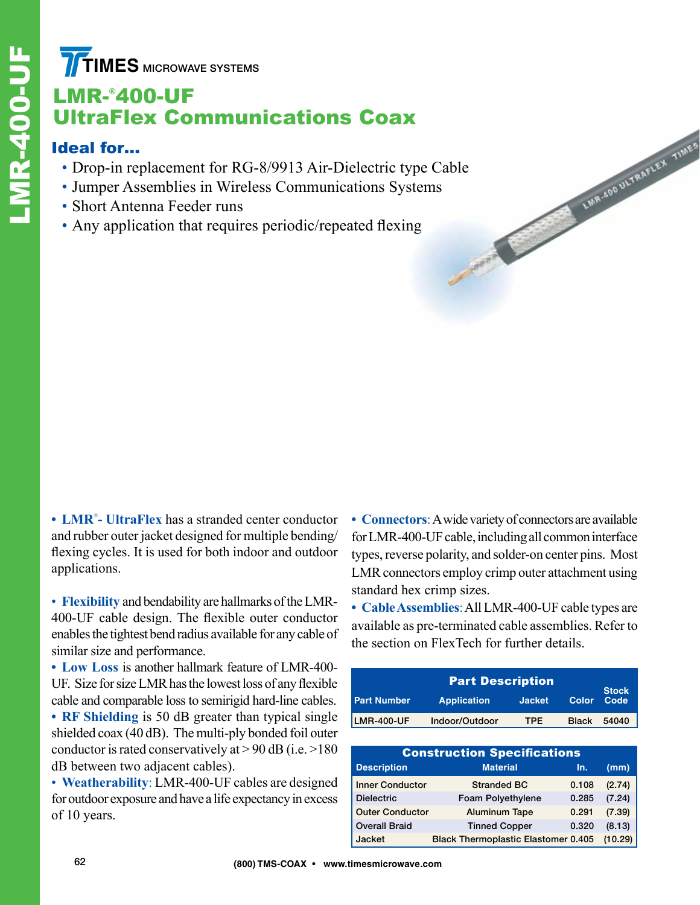**TIMES** MICROWAVE SYSTEMS

# LMR-® 400-UF UltraFlex Communications Coax

#### Ideal for…

- Drop-in replacement for RG-8/9913 Air-Dielectric type Cable
- Jumper Assemblies in Wireless Communications Systems
- Short Antenna Feeder runs
- Any application that requires periodic/repeated flexing

**• LMR**® **- UltraFlex** has a stranded center conductor and rubber outer jacket designed for multiple bending/ flexing cycles. It is used for both indoor and outdoor applications.

• **Flexibility** and bendability are hallmarks of the LMR-400-UF cable design. The flexible outer conductor enables the tightest bend radius available for any cable of similar size and performance.

**• Low Loss** is another hallmark feature of LMR-400- UF. Size for size LMR has the lowest loss of any flexible cable and comparable loss to semirigid hard-line cables.

**• RF Shielding** is 50 dB greater than typical single shielded coax (40 dB). The multi-ply bonded foil outer conductor is rated conservatively at  $> 90$  dB (i.e.  $> 180$ ) dB between two adjacent cables).

• **Weatherability**: LMR-400-UF cables are designed for outdoor exposure and have a life expectancy in excess of 10 years.

**• Connectors**: A wide variety of connectors are available for LMR-400-UF cable, including all common interface types, reverse polarity, and solder-on center pins. Most LMR connectors employ crimp outer attachment using standard hex crimp sizes.

LINR.400 ULTRAPLEX TIMES

**• Cable Assemblies**: All LMR-400-UF cable types are available as pre-terminated cable assemblies. Refer to the section on FlexTech for further details.

|                    | <b>Part Description</b> |               |              |                      |
|--------------------|-------------------------|---------------|--------------|----------------------|
| <b>Part Number</b> | <b>Application</b>      | <b>Jacket</b> | Color        | <b>Stock</b><br>Code |
| <b>LMR-400-UF</b>  | Indoor/Outdoor          | TPE           | <b>Black</b> | 54040                |

| <b>Construction Specifications</b> |                                            |       |         |  |  |  |  |
|------------------------------------|--------------------------------------------|-------|---------|--|--|--|--|
| <b>Description</b>                 | <b>Material</b>                            | In.   | (mm)    |  |  |  |  |
| <b>Inner Conductor</b>             | <b>Stranded BC</b>                         | 0.108 | (2.74)  |  |  |  |  |
| <b>Dielectric</b>                  | Foam Polyethylene                          | 0.285 | (7.24)  |  |  |  |  |
| <b>Outer Conductor</b>             | <b>Aluminum Tape</b>                       | 0.291 | (7.39)  |  |  |  |  |
| <b>Overall Braid</b>               | <b>Tinned Copper</b>                       | 0.320 | (8.13)  |  |  |  |  |
| Jacket                             | <b>Black Thermoplastic Elastomer 0.405</b> |       | (10.29) |  |  |  |  |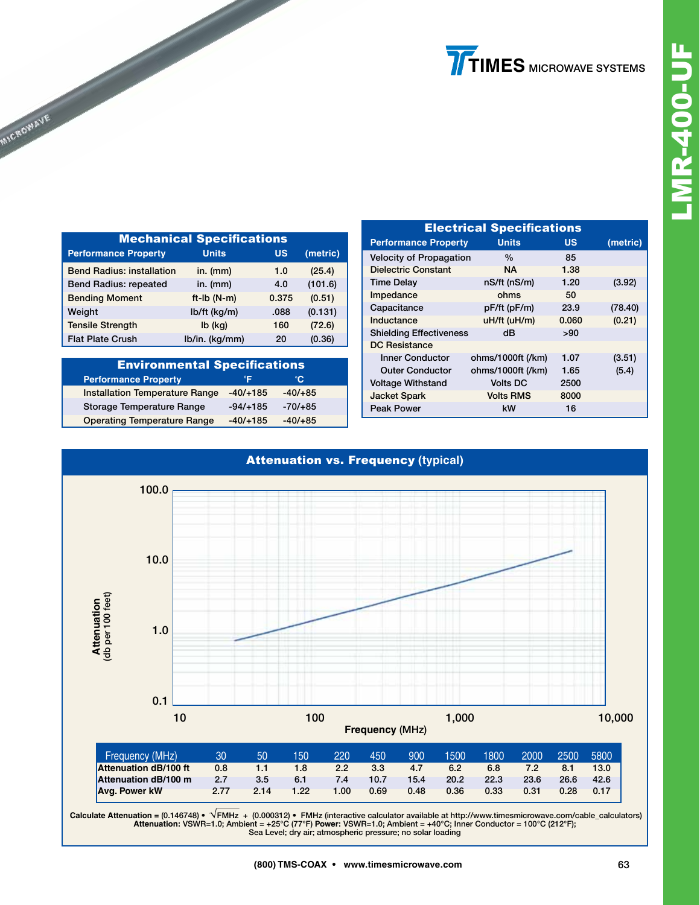| <b>Mechanical Specifications</b> |                |           |          |  |  |  |
|----------------------------------|----------------|-----------|----------|--|--|--|
| <b>Performance Property</b>      | <b>Units</b>   | <b>US</b> | (metric) |  |  |  |
| <b>Bend Radius: installation</b> | $in.$ (mm)     | 1.0       | (25.4)   |  |  |  |
| <b>Bend Radius: repeated</b>     | in. $(mm)$     | 4.0       | (101.6)  |  |  |  |
| <b>Bending Moment</b>            | $ft-lb(N-m)$   | 0.375     | (0.51)   |  |  |  |
| Weight                           | $lb/ft$ (kg/m) | .088      | (0.131)  |  |  |  |
| <b>Tensile Strength</b>          | $Ib$ (kg)      | 160       | (72.6)   |  |  |  |
| <b>Flat Plate Crush</b>          | lb/in. (kg/mm) | 20        | (0.36)   |  |  |  |

**MICROWAVE** 

| <b>Environmental Specifications</b>   |            |           |  |  |  |
|---------------------------------------|------------|-----------|--|--|--|
| <b>Performance Property</b>           | ۰E         | °C.       |  |  |  |
| <b>Installation Temperature Range</b> | $-40/+185$ | $-40/+85$ |  |  |  |
| Storage Temperature Range             | $-94/+185$ | $-70/+85$ |  |  |  |
| <b>Operating Temperature Range</b>    | $-40/+185$ | $-40/+85$ |  |  |  |

| <b>Electrical Specifications</b> |                   |       |          |  |  |  |  |
|----------------------------------|-------------------|-------|----------|--|--|--|--|
| <b>Performance Property</b>      | <b>Units</b>      | US    | (metric) |  |  |  |  |
| <b>Velocity of Propagation</b>   | $\%$              | 85    |          |  |  |  |  |
| <b>Dielectric Constant</b>       | ΝA.               | 1.38  |          |  |  |  |  |
| <b>Time Delay</b>                | nS/ft (nS/m)      | 1.20  | (3.92)   |  |  |  |  |
| Impedance                        | ohms              | 50    |          |  |  |  |  |
| Capacitance                      | pF/ft (pF/m)      | 23.9  | (78.40)  |  |  |  |  |
| Inductance                       | uH/ft (uH/m)      | 0.060 | (0.21)   |  |  |  |  |
| <b>Shielding Effectiveness</b>   | dB                | >90   |          |  |  |  |  |
| <b>DC Resistance</b>             |                   |       |          |  |  |  |  |
| <b>Inner Conductor</b>           | ohms/1000ft (/km) | 1.07  | (3.51)   |  |  |  |  |
| <b>Outer Conductor</b>           | ohms/1000ft (/km) | 1.65  | (5.4)    |  |  |  |  |
| <b>Voltage Withstand</b>         | <b>Volts DC</b>   | 2500  |          |  |  |  |  |
| <b>Jacket Spark</b>              | <b>Volts RMS</b>  | 8000  |          |  |  |  |  |
| Peak Power                       | kW                | 16    |          |  |  |  |  |



Calculate Attenuation = (0.146748) ● NFMHz + (0.000312) ● FMHz (interactive calculator available at http://www.timesmicrowave.com/cable\_calculators)<br>Attenuation: VSWR=1.0; Ambient = +25°C (77°F) Power: VSWR=1.0; Ambient = Sea Level; dry air; atmospheric pressure; no solar loading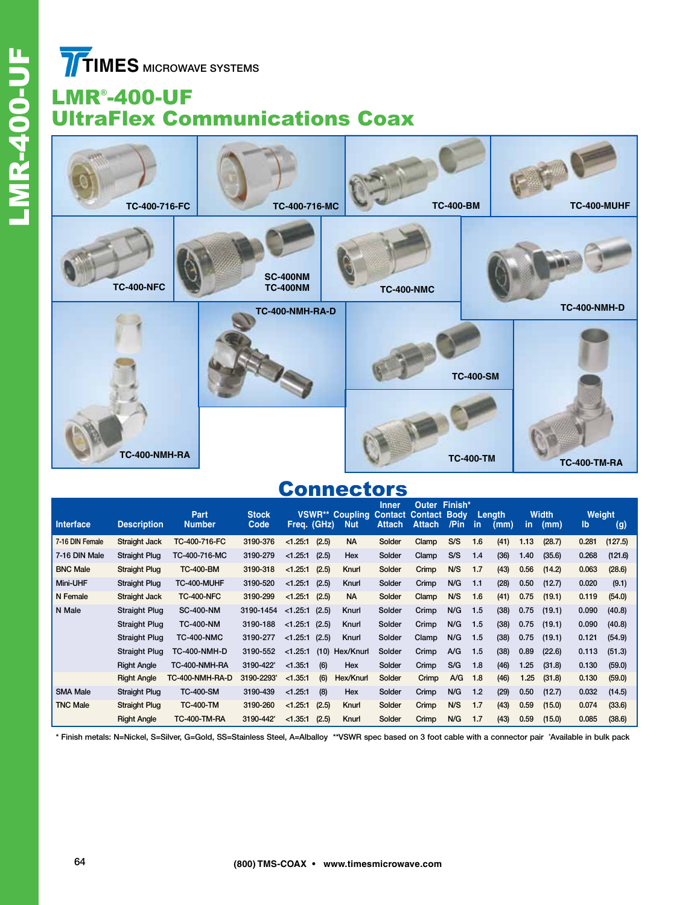**TIMES** MICROWAVE SYSTEMS

# LMR® -400-UF UltraFlex Communications Coax



### **Connectors**

| Interface       | <b>Description</b>   | Part<br><b>Number</b> | <b>Stock</b><br>Code | Freq. (GHz) |       | <b>VSWR** Coupling</b><br><b>Nut</b> | <b>Inner</b><br><b>Contact</b><br><b>Attach</b> | Outer<br><b>Contact Body</b><br>Attach | Finish*<br>/Pin | -in | Lenath<br>(mm) | in.  | <b>Width</b><br>(mm) | Weight<br>lb | (g)     |
|-----------------|----------------------|-----------------------|----------------------|-------------|-------|--------------------------------------|-------------------------------------------------|----------------------------------------|-----------------|-----|----------------|------|----------------------|--------------|---------|
|                 |                      |                       |                      |             |       |                                      |                                                 |                                        |                 |     |                |      |                      |              |         |
| 7-16 DIN Female | Straight Jack        | TC-400-716-FC         | 3190-376             | < 1.25:1    | (2.5) | <b>NA</b>                            | Solder                                          | Clamp                                  | S/S             | 1.6 | (41)           | 1.13 | (28.7)               | 0.281        | (127.5) |
| 7-16 DIN Male   | Straight Plug        | TC-400-716-MC         | 3190-279             | < 1.25:1    | (2.5) | Hex                                  | Solder                                          | Clamp                                  | S/S             | 1.4 | (36)           | 1.40 | (35.6)               | 0.268        | (121.6) |
| <b>BNC Male</b> | Straight Plug        | <b>TC-400-BM</b>      | 3190-318             | < 1.25:1    | (2.5) | Knurl                                | Solder                                          | Crimp                                  | N/S             | 1.7 | (43)           | 0.56 | (14.2)               | 0.063        | (28.6)  |
| <b>Mini-UHF</b> | <b>Straight Plug</b> | TC-400-MUHF           | 3190-520             | < 1.25:1    | (2.5) | Knurl                                | Solder                                          | Crimp                                  | N/G             | 1.1 | (28)           | 0.50 | (12.7)               | 0.020        | (9.1)   |
| N Female        | Straight Jack        | <b>TC-400-NFC</b>     | 3190-299             | < 1.25:1    | (2.5) | <b>NA</b>                            | Solder                                          | Clamp                                  | N/S             | 1.6 | (41)           | 0.75 | (19.1)               | 0.119        | (54.0)  |
| N Male          | <b>Straight Plug</b> | <b>SC-400-NM</b>      | 3190-1454            | < 1.25:1    | (2.5) | Knurl                                | Solder                                          | Crimp                                  | N/G             | 1.5 | (38)           | 0.75 | (19.1)               | 0.090        | (40.8)  |
|                 | <b>Straight Plug</b> | <b>TC-400-NM</b>      | 3190-188             | < 1.25:1    | (2.5) | Knurl                                | Solder                                          | Crimp                                  | N/G             | 1.5 | (38)           | 0.75 | (19.1)               | 0.090        | (40.8)  |
|                 | <b>Straight Plug</b> | <b>TC-400-NMC</b>     | 3190-277             | < 1.25:1    | (2.5) | Knurl                                | Solder                                          | Clamp                                  | N/G             | 1.5 | (38)           | 0.75 | (19.1)               | 0.121        | (54.9)  |
|                 | <b>Straight Plug</b> | <b>TC-400-NMH-D</b>   | 3190-552             | < 1.25:1    | (10)  | Hex/Knurl                            | Solder                                          | Crimp                                  | A/G             | 1.5 | (38)           | 0.89 | (22.6)               | 0.113        | (51.3)  |
|                 | <b>Right Angle</b>   | TC-400-NMH-RA         | 3190-422*            | < 1.35:1    | (6)   | Hex                                  | Solder                                          | Crimp                                  | S/G             | 1.8 | (46)           | 1.25 | (31.8)               | 0.130        | (59.0)  |
|                 | <b>Right Angle</b>   | TC-400-NMH-RA-D       | 3190-2293*           | < 1.35:1    | (6)   | Hex/Knurl                            | Solder                                          | Crimp                                  | A/G             | 1.8 | (46)           | 1.25 | (31.8)               | 0.130        | (59.0)  |
| <b>SMA Male</b> | <b>Straight Plug</b> | <b>TC-400-SM</b>      | 3190-439             | < 1.25:1    | (8)   | <b>Hex</b>                           | Solder                                          | Crimp                                  | N/G             | 1.2 | (29)           | 0.50 | (12.7)               | 0.032        | (14.5)  |
| <b>TNC Male</b> | <b>Straight Plug</b> | <b>TC-400-TM</b>      | 3190-260             | < 1.25:1    | (2.5) | Knurl                                | Solder                                          | Crimp                                  | N/S             | 1.7 | (43)           | 0.59 | (15.0)               | 0.074        | (33.6)  |
|                 | <b>Right Angle</b>   | <b>TC-400-TM-RA</b>   | 3190-442*            | < 1.35:1    | (2.5) | Knurl                                | Solder                                          | Crimp                                  | N/G             | 1.7 | (43)           | 0.59 | (15.0)               | 0.085        | (38.6)  |

\* Finish metals: N=Nickel, S=Silver, G=Gold, SS=Stainless Steel, A=Alballoy \*\*VSWR spec based on 3 foot cable with a connector pair # Available in bulk pack